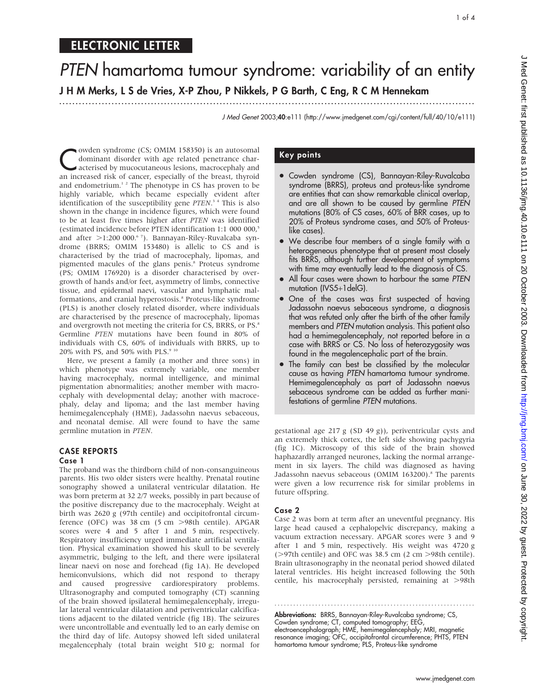# PTEN hamartoma tumour syndrome: variability of an entity J H M Merks, L S de Vries, X-P Zhou, P Nikkels, P G Barth, C Eng, R C M Hennekam

.............................................................................................................................. .

J Med Genet 2003;40:e111 (http://www.jmedgenet.com/cgi/content/full/40/10/e111)

Cowden syndrome (CS; OMIM 158350) is an autosomal<br>dominant disorder with age related penetrance char-<br>acterised by mucocutaneous lesions, macrocephaly and<br>an increased risk of cancer, especially of the breast, thyroid dominant disorder with age related penetrance charan increased risk of cancer, especially of the breast, thyroid and endometrium.1 2 The phenotype in CS has proven to be highly variable, which became especially evident after identification of the susceptibility gene PTEN.<sup>3</sup> <sup>4</sup> This is also shown in the change in incidence figures, which were found to be at least five times higher after PTEN was identified (estimated incidence before PTEN identification 1:1 000 000,<sup>5</sup> and after >1:200 000.<sup>6</sup>7). Bannayan-Riley-Ruvalcaba syndrome (BRRS; OMIM 153480) is allelic to CS and is characterised by the triad of macrocephaly, lipomas, and pigmented macules of the glans penis.<sup>8</sup> Proteus syndrome (PS; OMIM 176920) is a disorder characterised by overgrowth of hands and/or feet, asymmetry of limbs, connective tissue, and epidermal naevi, vascular and lymphatic malformations, and cranial hyperostosis.<sup>8</sup> Proteus-like syndrome (PLS) is another closely related disorder, where individuals are characterised by the presence of macrocephaly, lipomas and overgrowth not meeting the criteria for CS, BRRS, or PS.<sup>8</sup> Germline PTEN mutations have been found in 80% of individuals with CS, 60% of individuals with BRRS, up to 20% with PS, and 50% with PLS. $910$ 

Here, we present a family (a mother and three sons) in which phenotype was extremely variable, one member having macrocephaly, normal intelligence, and minimal pigmentation abnormalities; another member with macrocephaly with developmental delay; another with macrocephaly, delay and lipoma; and the last member having hemimegalencephaly (HME), Jadassohn naevus sebaceous, and neonatal demise. All were found to have the same germline mutation in PTEN.

#### CASE REPORTS Case 1

#### The proband was the thirdborn child of non-consanguineous parents. His two older sisters were healthy. Prenatal routine sonography showed a unilateral ventricular dilatation. He was born preterm at 32 2/7 weeks, possibly in part because of the positive discrepancy due to the macrocephaly. Weight at birth was 2620 g (97th centile) and occipitofrontal circumference (OFC) was 38 cm (5 cm > 98th centile). APGAR scores were 4 and 5 after 1 and 5 min, respectively. Respiratory insufficiency urged immediate artificial ventilation. Physical examination showed his skull to be severely asymmetric, bulging to the left, and there were ipsilateral linear naevi on nose and forehead (fig 1A). He developed hemiconvulsions, which did not respond to therapy and caused progressive cardiorespiratory problems. Ultrasonography and computed tomography (CT) scanning of the brain showed ipsilateral hemimegalencephaly, irregular lateral ventricular dilatation and periventricular calcifications adjacent to the dilated ventricle (fig 1B). The seizures were uncontrollable and eventually led to an early demise on the third day of life. Autopsy showed left sided unilateral megalencephaly (total brain weight 510 g; normal for

# Key points

- Cowden syndrome (CS), Bannayan-Riley-Ruvalcaba syndrome (BRRS), proteus and proteus-like syndrome are entities that can show remarkable clinical overlap, and are all shown to be caused by germline PTEN mutations (80% of CS cases, 60% of BRR cases, up to 20% of Proteus syndrome cases, and 50% of Proteuslike cases).
- We describe four members of a single family with a heterogeneous phenotype that at present most closely fits BRRS, although further development of symptoms with time may eventually lead to the diagnosis of CS.
- All four cases were shown to harbour the same PTEN mutation (IVS5+1delG).
- One of the cases was first suspected of having Jadassohn naevus sebaceous syndrome, a diagnosis that was refuted only after the birth of the other family members and PTEN mutation analysis. This patient also had a hemimegalencephaly, not reported before in a case with BRRS or CS. No loss of heterozygosity was found in the megalencephalic part of the brain.
- The family can best be classified by the molecular cause as having PTEN hamartoma tumour syndrome. Hemimegalencephaly as part of Jadassohn naevus sebaceous syndrome can be added as further manifestations of germline PTEN mutations.

gestational age 217 g (SD 49 g)), periventricular cysts and an extremely thick cortex, the left side showing pachygyria (fig 1C). Microscopy of this side of the brain showed haphazardly arranged neurones, lacking the normal arrangement in six layers. The child was diagnosed as having Jadassohn naevus sebaceous (OMIM 163200).<sup>8</sup> The parents were given a low recurrence risk for similar problems in future offspring.

# Case 2

Case 2 was born at term after an uneventful pregnancy. His large head caused a cephalopelvic discrepancy, making a vacuum extraction necessary. APGAR scores were 3 and 9 after 1 and 5 min, respectively. His weight was 4720 g ( $>97th$  centile) and OFC was 38.5 cm (2 cm  $>98th$  centile). Brain ultrasonography in the neonatal period showed dilated lateral ventricles. His height increased following the 50th centile, his macrocephaly persisted, remaining at >98th

Abbreviations: BRRS, Bannayan-Riley-Ruvalcaba syndrome; CS, Cowden syndrome; CT, computed tomography; EEG, electroencephalograph; HME, hemimegalencephaly; MRI, magnetic resonance imaging; OFC, occipitofrontal circumference; PHTS, PTEN hamartoma tumour syndrome; PLS, Proteus-like syndrome

............................................................... .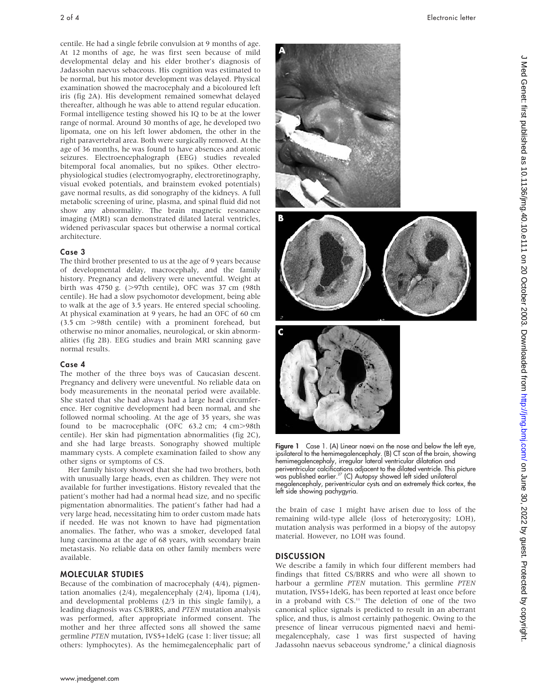centile. He had a single febrile convulsion at 9 months of age. At 12 months of age, he was first seen because of mild developmental delay and his elder brother's diagnosis of Jadassohn naevus sebaceous. His cognition was estimated to be normal, but his motor development was delayed. Physical examination showed the macrocephaly and a bicoloured left iris (fig 2A). His development remained somewhat delayed thereafter, although he was able to attend regular education. Formal intelligence testing showed his IQ to be at the lower range of normal. Around 30 months of age, he developed two lipomata, one on his left lower abdomen, the other in the right paravertebral area. Both were surgically removed. At the age of 36 months, he was found to have absences and atonic seizures. Electroencephalograph (EEG) studies revealed bitemporal focal anomalies, but no spikes. Other electrophysiological studies (electromyography, electroretinography, visual evoked potentials, and brainstem evoked potentials) gave normal results, as did sonography of the kidneys. A full metabolic screening of urine, plasma, and spinal fluid did not show any abnormality. The brain magnetic resonance imaging (MRI) scan demonstrated dilated lateral ventricles, widened perivascular spaces but otherwise a normal cortical architecture.

## Case 3

The third brother presented to us at the age of 9 years because of developmental delay, macrocephaly, and the family history. Pregnancy and delivery were uneventful. Weight at birth was 4750 g.  $(>97$ th centile), OFC was 37 cm  $(98th)$ centile). He had a slow psychomotor development, being able to walk at the age of 3.5 years. He entered special schooling. At physical examination at 9 years, he had an OFC of 60 cm (3.5 cm .98th centile) with a prominent forehead, but otherwise no minor anomalies, neurological, or skin abnormalities (fig 2B). EEG studies and brain MRI scanning gave normal results.

## Case 4

The mother of the three boys was of Caucasian descent. Pregnancy and delivery were uneventful. No reliable data on body measurements in the neonatal period were available. She stated that she had always had a large head circumference. Her cognitive development had been normal, and she followed normal schooling. At the age of 35 years, she was found to be macrocephalic (OFC  $63.2$  cm;  $4$  cm $>98$ th centile). Her skin had pigmentation abnormalities (fig 2C), and she had large breasts. Sonography showed multiple mammary cysts. A complete examination failed to show any other signs or symptoms of CS.

Her family history showed that she had two brothers, both with unusually large heads, even as children. They were not available for further investigations. History revealed that the patient's mother had had a normal head size, and no specific pigmentation abnormalities. The patient's father had had a very large head, necessitating him to order custom made hats if needed. He was not known to have had pigmentation anomalies. The father, who was a smoker, developed fatal lung carcinoma at the age of 68 years, with secondary brain metastasis. No reliable data on other family members were available.

## MOLECULAR STUDIES

Because of the combination of macrocephaly (4/4), pigmentation anomalies (2/4), megalencephaly (2/4), lipoma (1/4), and developmental problems (2/3 in this single family), a leading diagnosis was CS/BRRS, and PTEN mutation analysis was performed, after appropriate informed consent. The mother and her three affected sons all showed the same germline PTEN mutation, IVS5+1delG (case 1: liver tissue; all others: lymphocytes). As the hemimegalencephalic part of

C Figure 1 Case 1. (A) Linear naevi on the nose and below the left eye, ipsilateral to the hemimegalencephaly. (B) CT scan of the brain, showing hemimegalencephaly, irregular lateral ventricular dilatation and periventricular calcifications adjacent to the dilated ventricle. This picture was published earlier.<sup>27</sup> (C) Autopsy showed left sided unilateral

megalencephaly, periventricular cysts and an extremely thick cortex, the left side showing pachygyria.

the brain of case 1 might have arisen due to loss of the remaining wild-type allele (loss of heterozygosity; LOH), mutation analysis was performed in a biopsy of the autopsy material. However, no LOH was found.

## **DISCUSSION**

B

We describe a family in which four different members had findings that fitted CS/BRRS and who were all shown to harbour a germline PTEN mutation. This germline PTEN mutation, IVS5+1delG, has been reported at least once before in a proband with CS.11 The deletion of one of the two canonical splice signals is predicted to result in an aberrant splice, and thus, is almost certainly pathogenic. Owing to the presence of linear verrucous pigmented naevi and hemimegalencephaly, case 1 was first suspected of having Jadassohn naevus sebaceous syndrome,<sup>8</sup> a clinical diagnosis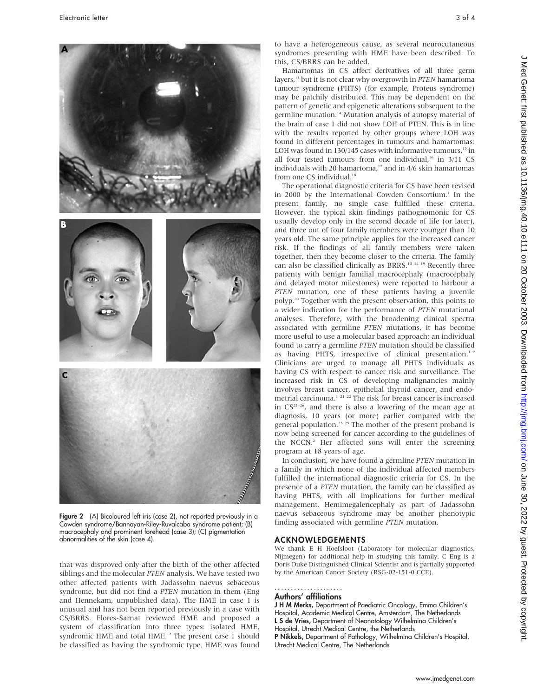

Figure 2 (A) Bicoloured left iris (case 2), not reported previously in a Cowden syndrome/Bannayan-Riley-Ruvalcaba syndrome patient; (B) macrocephaly and prominent forehead (case 3); (C) pigmentation abnormalities of the skin (case 4).

that was disproved only after the birth of the other affected siblings and the molecular PTEN analysis. We have tested two other affected patients with Jadassohn naevus sebaceous syndrome, but did not find a PTEN mutation in them (Eng and Hennekam, unpublished data). The HME in case 1 is unusual and has not been reported previously in a case with CS/BRRS. Flores-Sarnat reviewed HME and proposed a system of classification into three types: isolated HME, syndromic HME and total HME.<sup>12</sup> The present case 1 should be classified as having the syndromic type. HME was found to have a heterogeneous cause, as several neurocutaneous syndromes presenting with HME have been described. To this, CS/BRRS can be added.

Hamartomas in CS affect derivatives of all three germ layers,13 but it is not clear why overgrowth in PTEN hamartoma tumour syndrome (PHTS) (for example, Proteus syndrome) may be patchily distributed. This may be dependent on the pattern of genetic and epigenetic alterations subsequent to the germline mutation.14 Mutation analysis of autopsy material of the brain of case 1 did not show LOH of PTEN. This is in line with the results reported by other groups where LOH was found in different percentages in tumours and hamartomas: LOH was found in  $130/145$  cases with informative tumours.<sup>15</sup> in all four tested tumours from one individual,<sup>16</sup> in 3/11 CS individuals with 20 hamartoma, $17$  and in 4/6 skin hamartomas from one CS individual.<sup>18</sup>

The operational diagnostic criteria for CS have been revised in 2000 by the International Cowden Consortium.<sup>1</sup> In the present family, no single case fulfilled these criteria. However, the typical skin findings pathognomonic for CS usually develop only in the second decade of life (or later), and three out of four family members were younger than 10 years old. The same principle applies for the increased cancer risk. If the findings of all family members were taken together, then they become closer to the criteria. The family can also be classified clinically as BRRS.10 14 19 Recently three patients with benign familial macrocephaly (macrocephaly and delayed motor milestones) were reported to harbour a PTEN mutation, one of these patients having a juvenile polyp.20 Together with the present observation, this points to a wider indication for the performance of PTEN mutational analyses. Therefore, with the broadening clinical spectra associated with germline PTEN mutations, it has become more useful to use a molecular based approach; an individual found to carry a germline PTEN mutation should be classified as having PHTS, irrespective of clinical presentation.<sup>1</sup> Clinicians are urged to manage all PHTS individuals as having CS with respect to cancer risk and surveillance. The increased risk in CS of developing malignancies mainly involves breast cancer, epithelial thyroid cancer, and endometrial carcinoma.<sup>1 21 22</sup> The risk for breast cancer is increased in  $CS^{23-26}$ , and there is also a lowering of the mean age at diagnosis, 10 years (or more) earlier compared with the general population.<sup>23</sup> <sup>25</sup> The mother of the present proband is now being screened for cancer according to the guidelines of the NCCN.<sup>2</sup> Her affected sons will enter the screening program at 18 years of age.

In conclusion, we have found a germline PTEN mutation in a family in which none of the individual affected members fulfilled the international diagnostic criteria for CS. In the presence of a PTEN mutation, the family can be classified as having PHTS, with all implications for further medical management. Hemimegalencephaly as part of Jadassohn naevus sebaceous syndrome may be another phenotypic finding associated with germline PTEN mutation.

#### ACKNOWLEDGEMENTS

We thank E H Hoefsloot (Laboratory for molecular diagnostics, Nijmegen) for additional help in studying this family. C Eng is a Doris Duke Distinguished Clinical Scientist and is partially supported by the American Cancer Society (RSG-02-151-0 CCE).

#### Authors' affiliations .....................

J H M Merks, Department of Paediatric Oncology, Emma Children's Hospital, Academic Medical Centre, Amsterdam, The Netherlands L S de Vries, Department of Neonatology Wilhelmina Children's Hospital, Utrecht Medical Centre, the Netherlands P Nikkels, Department of Pathology, Wilhelmina Children's Hospital, Utrecht Medical Centre, The Netherlands